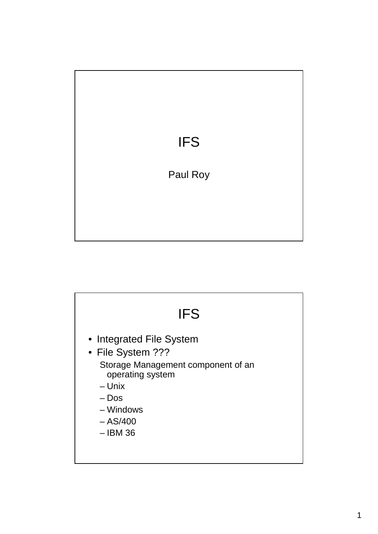

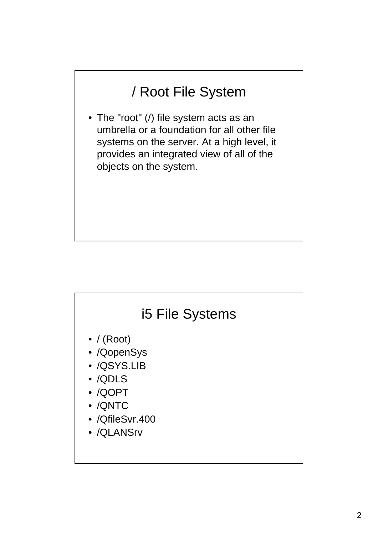## / Root File System

• The "root" (/) file system acts as an umbrella or a foundation for all other file systems on the server. At a high level, it provides an integrated view of all of the objects on the system.

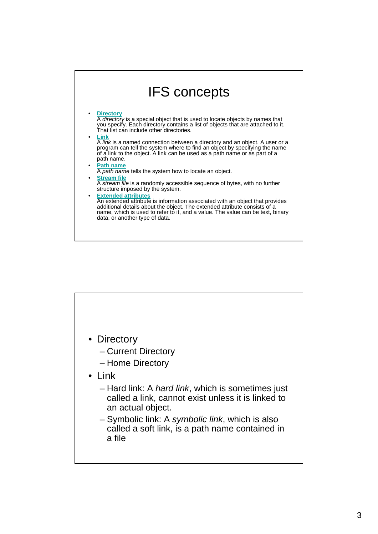

- Directory
	- Current Directory
	- Home Directory
- Link
	- Hard link: A hard link, which is sometimes just called a link, cannot exist unless it is linked to an actual object.
	- Symbolic link: A symbolic link, which is also called a soft link, is a path name contained in a file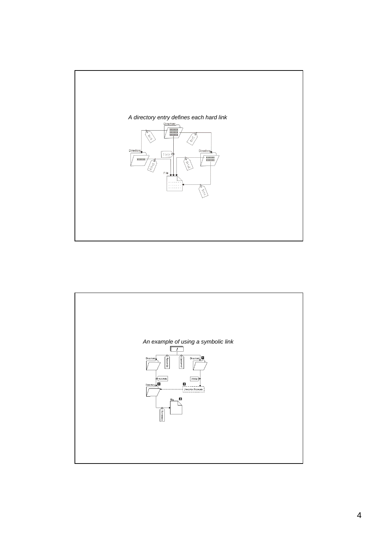

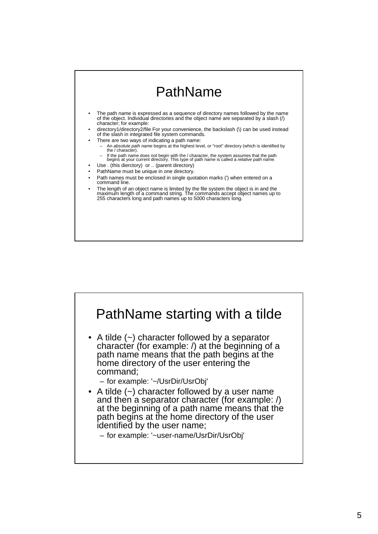

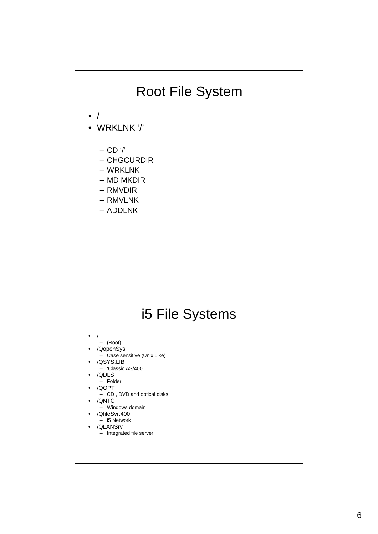

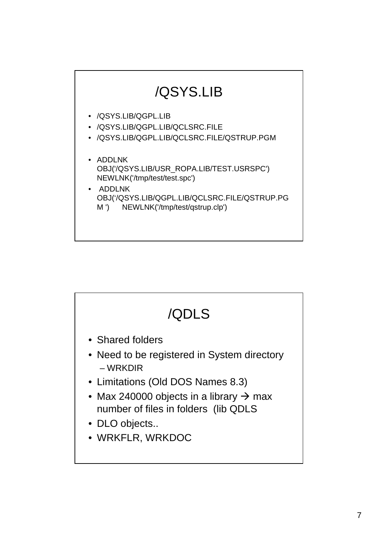

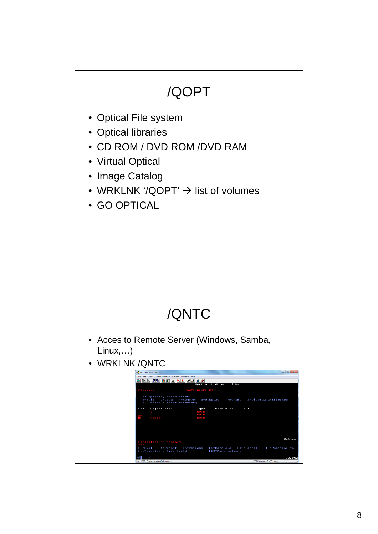# /QOPT

- Optical File system
- Optical libraries
- CD ROM / DVD ROM /DVD RAM
- Virtual Optical
- Image Catalog
- WRKLNK '/QOPT'  $\rightarrow$  list of volumes
- GO OPTICAL

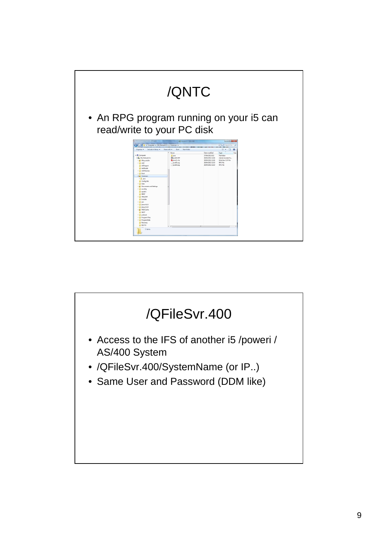

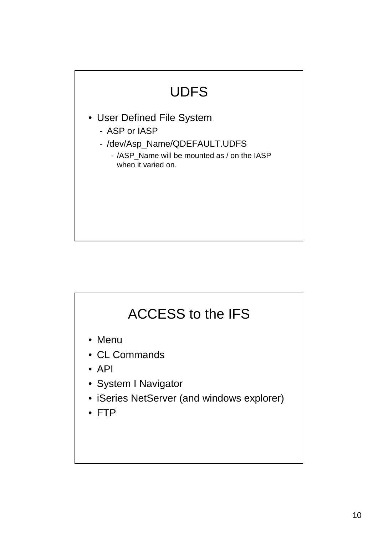# UDFS • User Defined File System - ASP or IASP - /dev/Asp\_Name/QDEFAULT.UDFS - /ASP\_Name will be mounted as / on the IASP when it varied on.

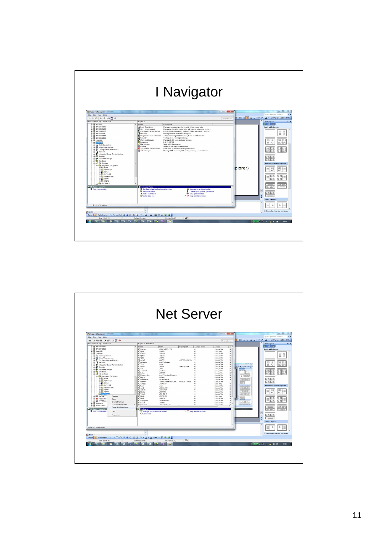| System i Navigator<br><b>Primary</b>                                                                                                                                                                                                                                                                                                                                                                                                                                                                                                                                                                                                          | I Navigator                                                                                                                                                                                                                                                                                                                                                                                                                                                                                                                                                                                                                                                                                                                                                                                                                                                                      | $\Box$ a $\Box$ |         | $\Box$ $\Box$<br>83                                                                                                                                                                                                                 |
|-----------------------------------------------------------------------------------------------------------------------------------------------------------------------------------------------------------------------------------------------------------------------------------------------------------------------------------------------------------------------------------------------------------------------------------------------------------------------------------------------------------------------------------------------------------------------------------------------------------------------------------------------|----------------------------------------------------------------------------------------------------------------------------------------------------------------------------------------------------------------------------------------------------------------------------------------------------------------------------------------------------------------------------------------------------------------------------------------------------------------------------------------------------------------------------------------------------------------------------------------------------------------------------------------------------------------------------------------------------------------------------------------------------------------------------------------------------------------------------------------------------------------------------------|-----------------|---------|-------------------------------------------------------------------------------------------------------------------------------------------------------------------------------------------------------------------------------------|
| File Edit View Help<br>※地震 × 空 空間の                                                                                                                                                                                                                                                                                                                                                                                                                                                                                                                                                                                                            |                                                                                                                                                                                                                                                                                                                                                                                                                                                                                                                                                                                                                                                                                                                                                                                                                                                                                  | 1 minutes old   |         | Type a question for help<br>$- x$                                                                                                                                                                                                   |
| $\overline{4}$ 172.31.31<br>$\bigoplus$ 192.168.0.100<br>■ 192.168.0.200<br>□ 192.168.0.250<br>■ 192,168,0.44<br>$\bigoplus$ 192.168.1.100<br>$\bigoplus$ 192.168.1.111<br>E Luprol01<br>G. Luproid<br>Basic Operations<br><b>B</b> Work Management<br>E <sup>2</sup> Configuration and Service<br><b>B</b> Network<br><b>E</b> Integrated Server Administration<br>E <b>B</b> Security<br><b>B</b> Users and Groups<br><b>Databases</b><br>e og File Systems<br><b>B</b> Integrated File System<br><b>Car Root</b><br>E Re QOpenSys<br><b>B</b> De QDLS<br>E R QSYSLIB<br>@ TO OFficSyr.400<br><b>BE QOPT</b><br>G IS ONTC<br>49 File Shares | Name<br>Description<br><b>Pa Basic Operations</b><br>Manage messages, printer output, printers, and jobs.<br><b>CB</b> Work Management<br>Manage active jobs, server jobs, job queues, subsystems, and<br>Configuration and Service<br>Display system inventory, work with fixes, and collect perform<br>Network<br>Manage TCP/IP and Internet support.<br>Anteqrated Server Administr Administer integrated Windows, Linux and AIX servers<br>Security<br>By Users and Groups<br>Configure and manage security.<br>Manage iS/OS users and user groups.<br><b><i><u>PaDatabases</u></i></b><br>DB2 for 6/05.<br><sup>o</sup> File Systems<br>Work with file systems.<br><b>Go</b> Beckup<br>Schedule backups of server data.<br>Application Development<br>Work with application development tools.<br>Manage AFP resources, PSF configurations, and font tables.<br>AFP Manager |                 | plorer) | 00000<br>Apply slide layout:<br>四 8<br>血心<br>⊞<br>$\mathbf{S}$<br>$\Xi$ s $\Xi$ s<br>曲の<br>MO.<br>Ms.<br>23 DS<br>$\boxplus$<br>田島<br>国<br>(dr)<br>60<br>日3日3<br>3353<br><b>Text and Content Layouts</b><br>Ξ<br>iać<br>Wś.<br>日名師だ |
| My Tasks - LuproiD2<br>1 - 12 of 12 objects                                                                                                                                                                                                                                                                                                                                                                                                                                                                                                                                                                                                   | <b>Connection tasks</b><br>Configure Application Administration<br>O Upgrade or service plug-ins<br>Wiew disk status<br>Change your System i password<br><sup>M</sup> View system status<br>恩 Run a command<br>> ? Help for related tasks<br><b>O</b> Install plug-ins<br>÷.                                                                                                                                                                                                                                                                                                                                                                                                                                                                                                                                                                                                     |                 |         | 18 颜1<br>A<br>$\overline{\mathbf{x}}$<br><b>Other Layouts</b><br>$\mathbf S$<br>s                                                                                                                                                   |
| 国38 字<br>E Draw +<br>AutoShapes / / 口〇四項合日國 ③ · 2·A·三元芸日日。                                                                                                                                                                                                                                                                                                                                                                                                                                                                                                                                                                                    | <b>üx</b>                                                                                                                                                                                                                                                                                                                                                                                                                                                                                                                                                                                                                                                                                                                                                                                                                                                                        |                 |         | V Show when inserting new slides                                                                                                                                                                                                    |
| Slide 25 of 25<br>$\mathbf{r}$<br>$\sim$<br>B.                                                                                                                                                                                                                                                                                                                                                                                                                                                                                                                                                                                                | Default Design<br>English (U.S.)<br><b>RELEASE</b><br>$-70$<br>$\circ$<br>$\sqrt{2}$<br><b>Fox</b>                                                                                                                                                                                                                                                                                                                                                                                                                                                                                                                                                                                                                                                                                                                                                                               |                 |         | 100% (日 - 2 4 0 時<br>20:33                                                                                                                                                                                                          |

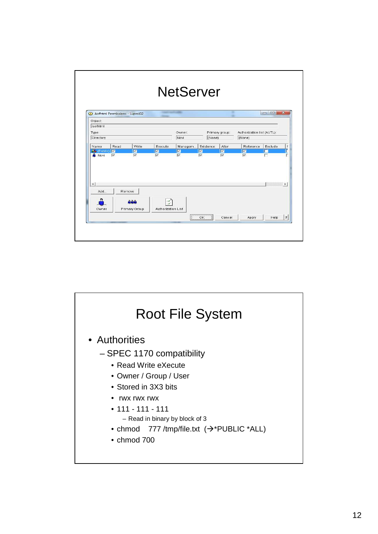|                      | Aofhtml Permissions - Luproi02 |                                       |                                                |                                                |                                            |                                                |                                          | $\Box$ $\Box$ | $\overline{\mathbf{x}}$ |
|----------------------|--------------------------------|---------------------------------------|------------------------------------------------|------------------------------------------------|--------------------------------------------|------------------------------------------------|------------------------------------------|---------------|-------------------------|
| Object               |                                |                                       |                                                |                                                |                                            |                                                |                                          |               |                         |
| <i>l</i> aofhtml     |                                |                                       |                                                |                                                |                                            |                                                |                                          |               |                         |
| Type:                |                                |                                       |                                                | Owner:                                         |                                            | Primary group:                                 | Authorization list (AUTL):               |               |                         |
| Directory            |                                |                                       |                                                | Novi                                           | (None)                                     |                                                | (None)                                   |               |                         |
|                      |                                |                                       |                                                |                                                |                                            |                                                |                                          |               |                         |
| Name                 | Read                           | Write                                 | Execute                                        | Managem                                        | Existence                                  | Alter                                          | Reference                                | Exclude       |                         |
| 46 (Public) 区        |                                |                                       |                                                |                                                |                                            |                                                |                                          |               |                         |
| A Novi               | $\overline{\nabla}$            | $\overline{v}$<br>$\overline{\nabla}$ | $\overline{\mathbf{v}}$<br>$\overline{\nabla}$ | $\overline{\mathbf{v}}$<br>$\overline{\nabla}$ | $\overline{\nabla}$<br>$\overline{\nabla}$ | $\overline{\mathbf{z}}$<br>$\overline{\nabla}$ | $\overline{\nabla}$<br>$\overline{\vee}$ |               | г                       |
|                      |                                |                                       |                                                |                                                |                                            |                                                |                                          |               |                         |
| $\blacktriangleleft$ |                                |                                       |                                                |                                                |                                            |                                                |                                          |               | $\rightarrow$           |
| Add                  |                                | Remove                                |                                                |                                                |                                            |                                                |                                          |               |                         |
|                      |                                |                                       |                                                |                                                |                                            |                                                |                                          |               |                         |
|                      |                                | ñññ                                   |                                                |                                                |                                            |                                                |                                          |               |                         |
|                      |                                |                                       |                                                |                                                |                                            |                                                |                                          |               |                         |
| Owner                |                                | Primary Group                         | Authorization List                             |                                                |                                            |                                                |                                          |               |                         |

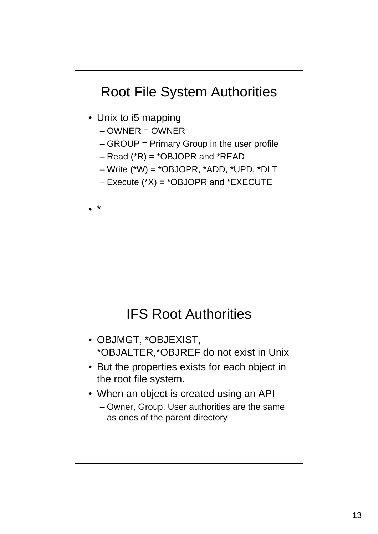

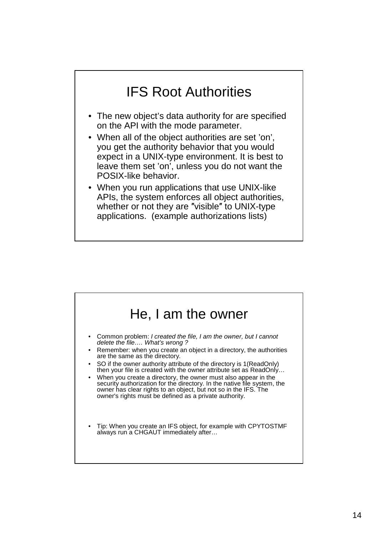### IFS Root Authorities

- The new object's data authority for are specified on the API with the mode parameter.
- When all of the object authorities are set 'on', you get the authority behavior that you would expect in a UNIX-type environment. It is best to leave them set 'on', unless you do not want the POSIX-like behavior.
- When you run applications that use UNIX-like APIs, the system enforces all object authorities, whether or not they are ″visible″ to UNIX-type applications. (example authorizations lists)

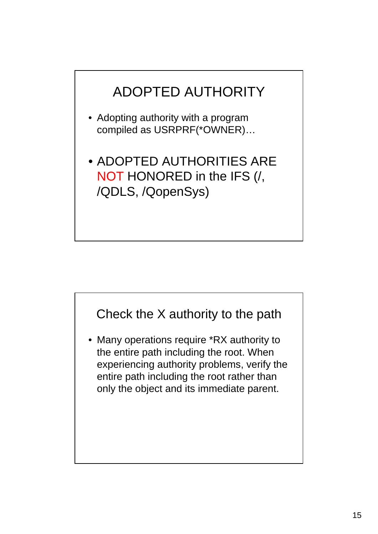

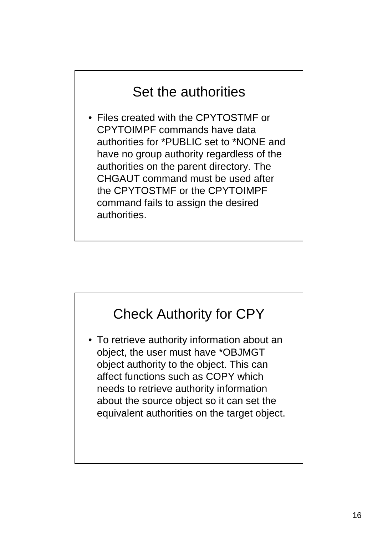#### Set the authorities

• Files created with the CPYTOSTMF or CPYTOIMPF commands have data authorities for \*PUBLIC set to \*NONE and have no group authority regardless of the authorities on the parent directory. The CHGAUT command must be used after the CPYTOSTMF or the CPYTOIMPF command fails to assign the desired authorities.

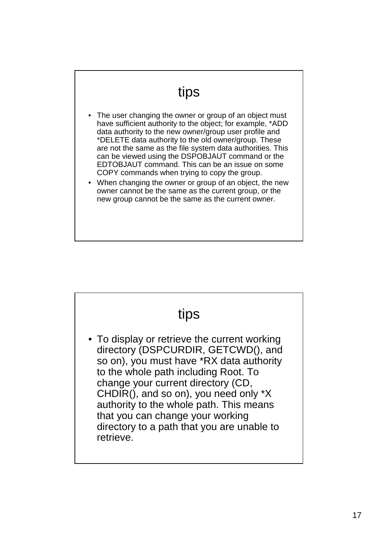#### tips

- The user changing the owner or group of an object must have sufficient authority to the object; for example, \*ADD data authority to the new owner/group user profile and \*DELETE data authority to the old owner/group. These are not the same as the file system data authorities. This can be viewed using the DSPOBJAUT command or the EDTOBJAUT command. This can be an issue on some COPY commands when trying to copy the group.
- When changing the owner or group of an object, the new owner cannot be the same as the current group, or the new group cannot be the same as the current owner.

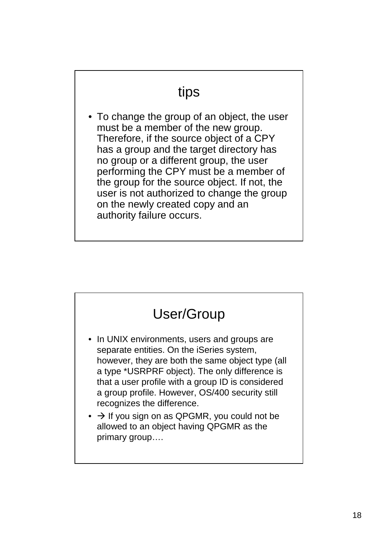#### tips

• To change the group of an object, the user must be a member of the new group. Therefore, if the source object of a CPY has a group and the target directory has no group or a different group, the user performing the CPY must be a member of the group for the source object. If not, the user is not authorized to change the group on the newly created copy and an authority failure occurs.

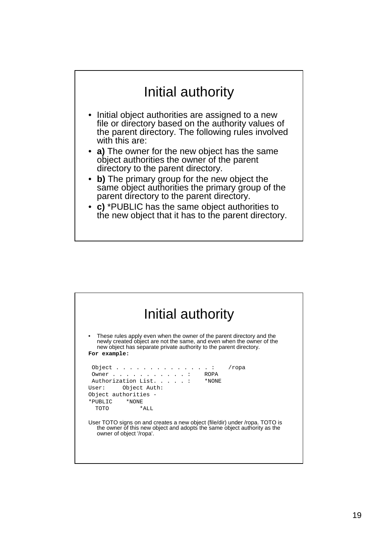#### Initial authority

- Initial object authorities are assigned to a new file or directory based on the authority values of the parent directory. The following rules involved with this are:
- **a)** The owner for the new object has the same object authorities the owner of the parent directory to the parent directory.
- **b)** The primary group for the new object the same object authorities the primary group of the parent directory to the parent directory.
- **c)** \*PUBLIC has the same object authorities to the new object that it has to the parent directory.

| These rules apply even when the owner of the parent directory and the<br>newly created object are not the same, and even when the owner of the |                                                                                        |  |  |  |
|------------------------------------------------------------------------------------------------------------------------------------------------|----------------------------------------------------------------------------------------|--|--|--|
|                                                                                                                                                | new object has separate private authority to the parent directory.                     |  |  |  |
| For example:                                                                                                                                   |                                                                                        |  |  |  |
| Object.                                                                                                                                        | $\mathbf{u} = \mathbf{u} + \mathbf{u} + \mathbf{u} + \mathbf{u} + \mathbf{u}$<br>/ropa |  |  |  |
|                                                                                                                                                | Owner ROPA                                                                             |  |  |  |
|                                                                                                                                                | Authorization List. :<br>*NONE                                                         |  |  |  |
|                                                                                                                                                | User: Object Auth:                                                                     |  |  |  |
|                                                                                                                                                | Object authorities -                                                                   |  |  |  |
| *PUBLIC                                                                                                                                        | *NONE                                                                                  |  |  |  |
| TOTO                                                                                                                                           | $*AT.T.$                                                                               |  |  |  |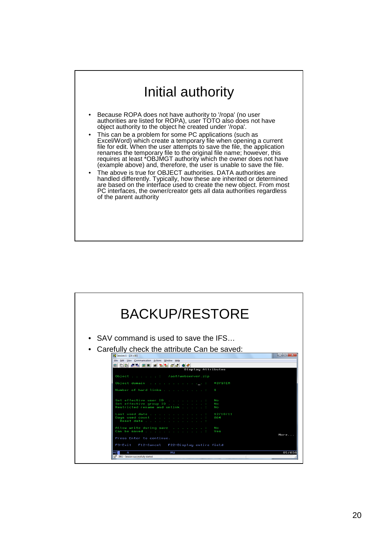### Initial authority

- Because ROPA does not have authority to '/ropa' (no user authorities are listed for ROPA), user TOTO also does not have object authority to the object he created under '/ropa'.
- This can be a problem for some PC applications (such as Excel/Word) which create a temporary file when opening a current file for edit. When the user attempts to save the file, the application renames the temporary file to the original file name; however, this requires at least \*OBJMGT authority which the owner does not have (example above) and, therefore, the user is unable to save the file.
- The above is true for OBJECT authorities. DATA authorities are handled differently. Typically, how these are inherited or determined are based on the interface used to create the new object. From most PC interfaces, the owner/creator gets all data authorities regardless of the parent authority